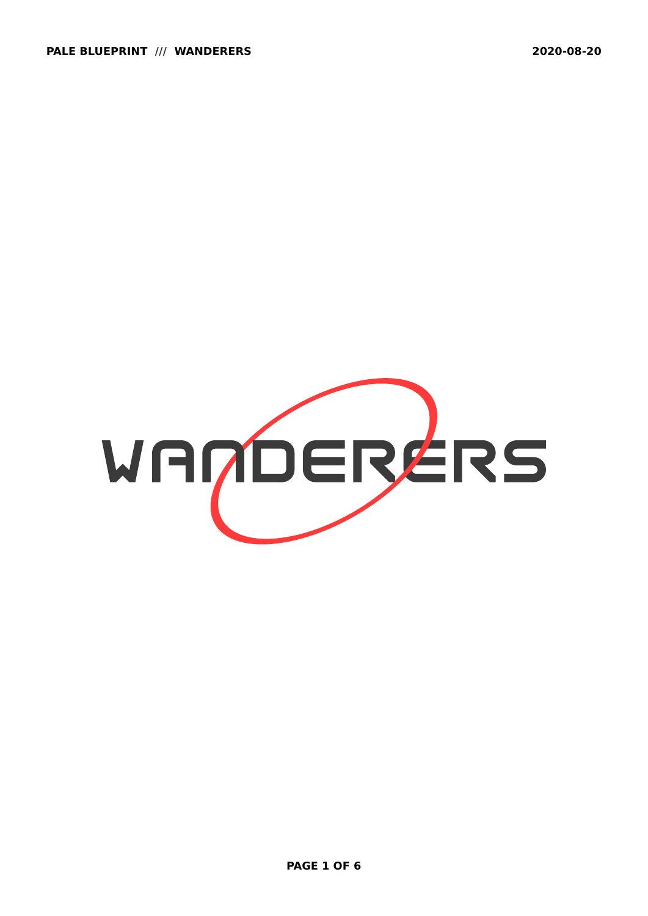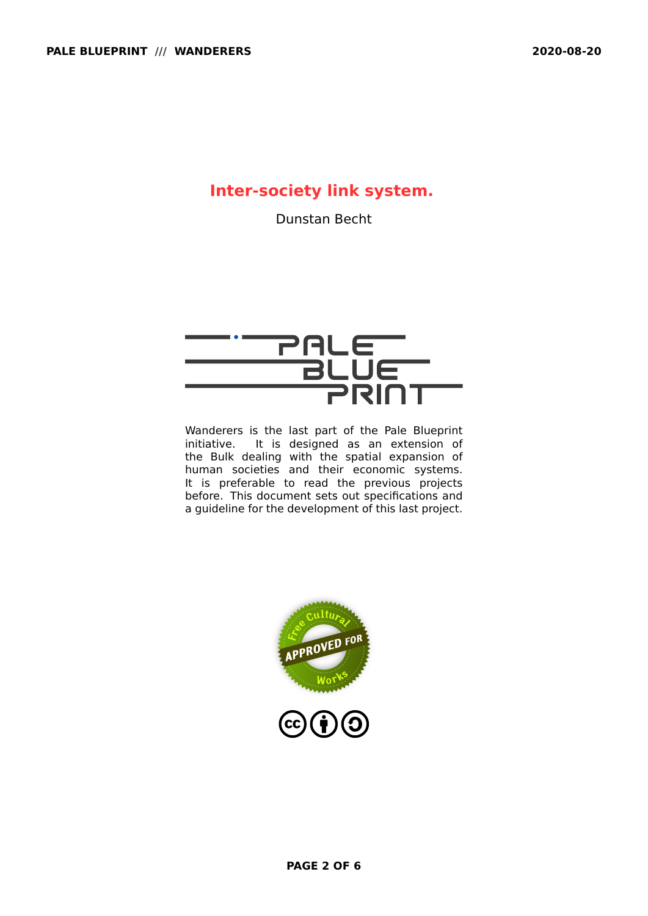# **Inter-society link system.**

Dunstan Becht

# PALE<br>BLUE<br>PRINT

Wanderers is the last part of the Pale Blueprint initiative. It is designed as an extension of the Bulk dealing with the spatial expansion of human societies and their economic systems. It is preferable to read the previous projects before. This document sets out specifications and a guideline for the development of this last project.

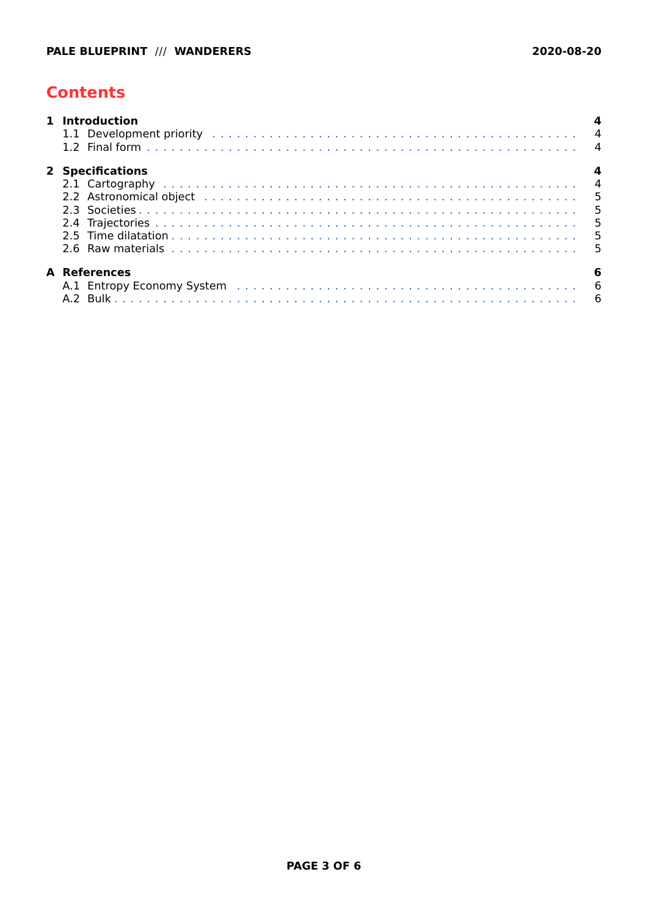# <span id="page-2-0"></span>**Contents**

| 1 Introduction      |  |
|---------------------|--|
| 2 Specifications    |  |
| <b>A</b> References |  |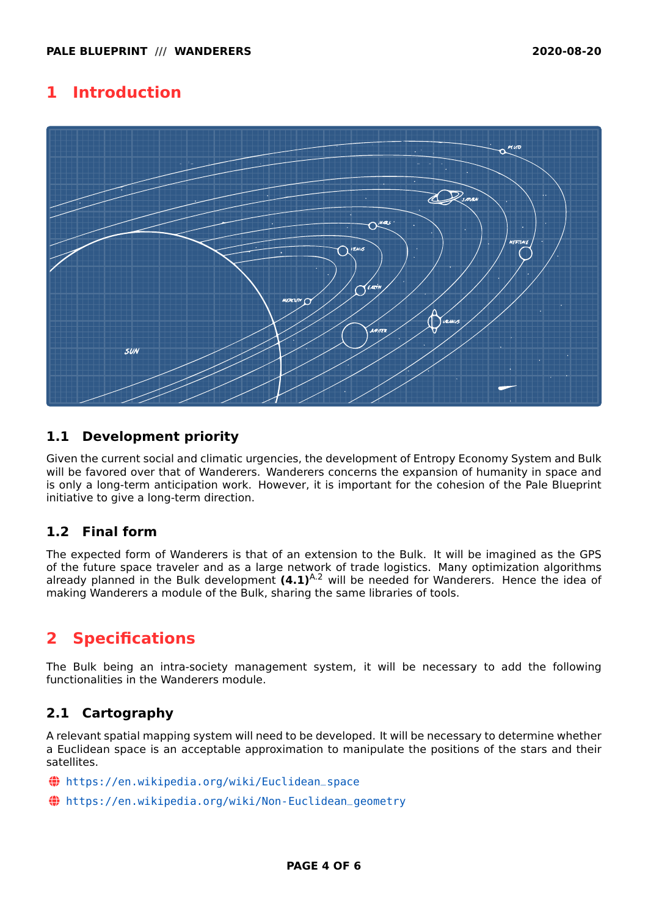### <span id="page-3-0"></span>**1 Introduction**



#### <span id="page-3-1"></span>**1.1 Development priority**

Given the current social and climatic urgencies, the development of Entropy Economy System and Bulk will be favored over that of Wanderers. Wanderers concerns the expansion of humanity in space and is only a long-term anticipation work. However, it is important for the cohesion of the Pale Blueprint initiative to give a long-term direction.

#### <span id="page-3-2"></span>**1.2 Final form**

The expected form of Wanderers is that of an extension to the Bulk. It will be imagined as the GPS of the future space traveler and as a large network of trade logistics. Many optimization algorithms already planned in the Bulk development **(4.1)**<sup>[A.2](#page-5-2)</sup> will be needed for Wanderers. Hence the idea of making Wanderers a module of the Bulk, sharing the same libraries of tools.

## <span id="page-3-3"></span>**2 Specifications**

The Bulk being an intra-society management system, it will be necessary to add the following functionalities in the Wanderers module.

#### <span id="page-3-4"></span>**2.1 Cartography**

A relevant spatial mapping system will need to be developed. It will be necessary to determine whether a Euclidean space is an acceptable approximation to manipulate the positions of the stars and their satellites.

- ~ [https://en.wikipedia.org/wiki/Euclidean\\_space](https://en.wikipedia.org/wiki/Euclidean_space)
- ~ [https://en.wikipedia.org/wiki/Non-Euclidean\\_geometry](https://en.wikipedia.org/wiki/Non-Euclidean_geometry)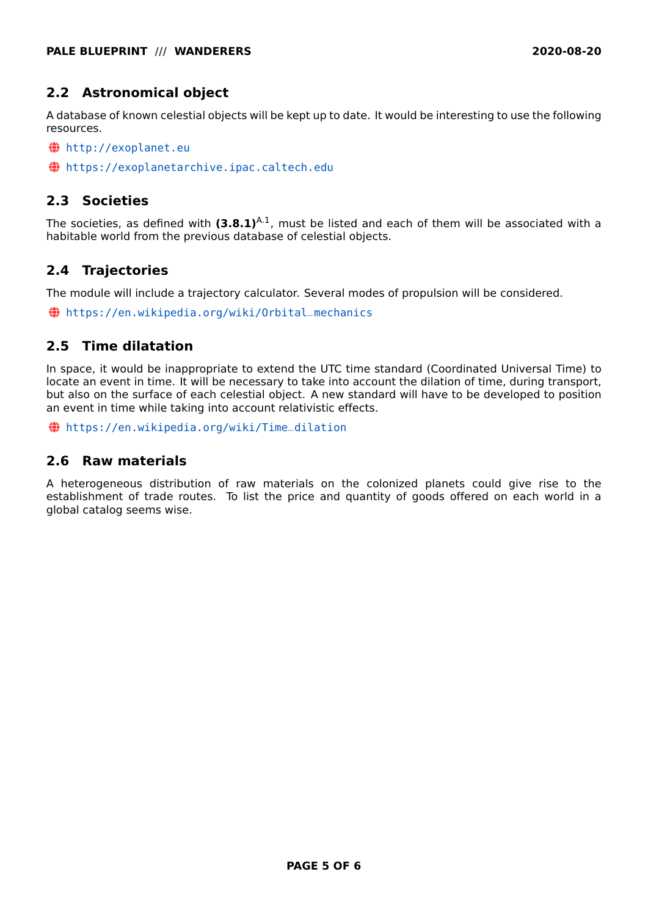#### <span id="page-4-0"></span>**2.2 Astronomical object**

A database of known celestial objects will be kept up to date. It would be interesting to use the following resources.

- ~ <http://exoplanet.eu>
- ~ <https://exoplanetarchive.ipac.caltech.edu>

#### <span id="page-4-1"></span>**2.3 Societies**

The societies, as defined with  $(3.8.1)^{A.1}$  $(3.8.1)^{A.1}$  $(3.8.1)^{A.1}$ , must be listed and each of them will be associated with a habitable world from the previous database of celestial objects.

#### <span id="page-4-2"></span>**2.4 Trajectories**

The module will include a trajectory calculator. Several modes of propulsion will be considered.

~ [https://en.wikipedia.org/wiki/Orbital\\_mechanics](https://en.wikipedia.org/wiki/Orbital_mechanics)

#### <span id="page-4-3"></span>**2.5 Time dilatation**

In space, it would be inappropriate to extend the UTC time standard (Coordinated Universal Time) to locate an event in time. It will be necessary to take into account the dilation of time, during transport, but also on the surface of each celestial object. A new standard will have to be developed to position an event in time while taking into account relativistic effects.

~ [https://en.wikipedia.org/wiki/Time\\_dilation](https://en.wikipedia.org/wiki/Time_dilation)

#### <span id="page-4-4"></span>**2.6 Raw materials**

A heterogeneous distribution of raw materials on the colonized planets could give rise to the establishment of trade routes. To list the price and quantity of goods offered on each world in a global catalog seems wise.